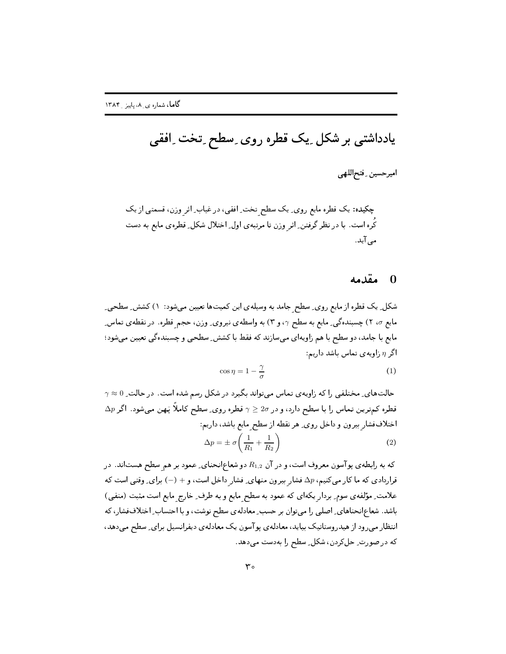یادداشتی بر شکل ِ یک قطره روی ِ سطح ِ تخت ِ افقی

اميرحسين فتحاللهي

## مقدمه  $\overline{0}$

شکل ِ یک قطره از مایع روی ِ سطح جامد به وسیلهی این کمیتها تعیین میشود: ۱) کشش ِ سطحی ِ مایع r، ٢) چسبندهگی ِ مایع به سطح r، و ٣) به واسطهی نیروی ِ وزن، حجم قطره. در نقطهی تماس ِ مایع با جامد، دو سطح با هم زاویهای میسازند که فقط با کشش ِ سطحی و چسبندهگی تعیین می شود؛ اگر n زاويهى تماس باشد داريم:

$$
\cos \eta = 1 - \frac{\gamma}{\sigma} \tag{1}
$$

 $\gamma \approx 0$  حالتهای ِ مختلفی را که زاویهی تماس می تواند بگیرد در شکل رسم شده است. در حالت  $\Delta p$  قطره کمترین تماس را با سطح دارد، و در 20 $\gamma \geq 2$  قطره روی ِ سطح کاملاً پَهن میشود. اگر اختلاففشار بيرون و داخل روى ِ هر نقطه از سطح مايع باشد، داريم:  $\Delta p = \pm \sigma \left( \frac{1}{R_1} + \frac{1}{R_2} \right)$  $(2)$ 

که به رابطهی پوآسون معروف است، و در آن  $R_{1,2}$  دو شعاع|نحنای ِ عمود بر هم سطح هستاند. در قراردادی که ما کار میکنیم،  $\Delta p$  فشار بیرون منهای ِ فشار داخل است، و $(-) +$ برای ِ وقتی است که علامت ِ مؤلفه ی سوم ِ بردار یکهای که عمود به سطح مایع و به طرف ِ خارج مایع است مثبت (منفی) باشد. شعاعانحناهای ِ اصلی را میتوان بر حسب ِ معادلهی سطح نوشت، و با احتساب ِ اختلاففشار، که انتظار می رود از هیدروستاتیک بیاید، معادلهی یو آسون یک معادلهی دیفرانسیل برای ِ سطح می دهد، كه در صورت ِ حل كردن، شكل ِ سطح را بهدست مى دهد.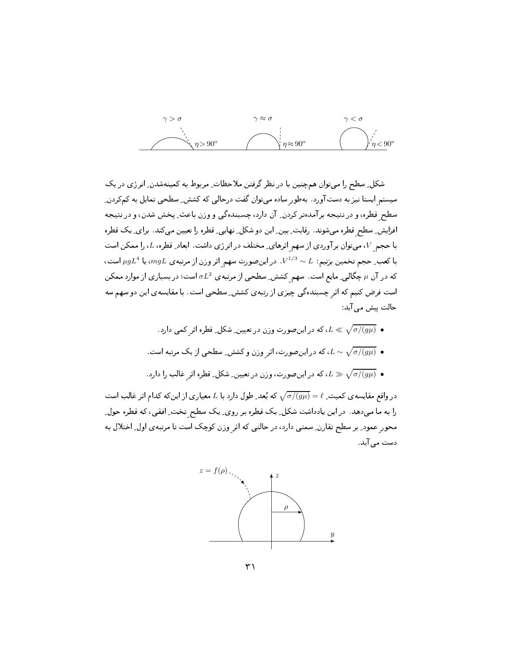

شکل ِ سطح را می توان همچنین با در نظر گرفتن ملاحظات ِ مربوط به کمینهشدن ِ انرژی در یک سیستم ایستا نیز به دستآورد. بهطور ساده می توان گفت درحالی که کشش ِ سطحی تمایل به کمکردن ِ سطح قطره، و در نتیجه برآمدهتر کردن ِ آن دارد، چسبندهگی و وزن باعث ِ پخش شدن، و در نتیجه افزایش ِ سطح قطره میشوند. رقابت ِ بین ِ این دو شکل ِ نهایی ِ قطره را تعیین می کند. برای ِ یک قطره با حجم V، میتوان برآوردی از سهم اثرهای ِ مختلف در انرژی داشت. ابعاد ِ قطره، L، را ممکن است با کعب ِ حجم تخمین بزنیم:  $L \sim V^{1/3} \sim L^{1/3}$ . در اینصورت سهم اثر وزن از مرتبه ی  $mgL$ ، یا  $\mu g L^4$  است، که در آن  $\mu$  چگالی ِ مایع است . سهم کشش ِ سطحی از مرتبه ی  $\sigma L^2$  است؛ در بسیاری از موارد ممکن است فرض کنیم که اثر چسبندهگی چیزی از رتبهی کشش ِ سطحی است. با مقایسهی این دو سهم سه حالت پیش می آید:

- ه  $L \ll \sqrt{\sigma/(g\mu)}$  ، که در این صورت و زن در تعیین ِ شکل ِ قطره اثر کمی دارد .
- ه  $L \sim \sqrt{\sigma/(g\mu)}$  ، که در اینصورت، اثر وزن و کشش ِ سطحی از یک مرتبه است  $L \sim \sqrt{\sigma/(g\mu)}$  .
- ه  $\sqrt{\sigma/(g\mu)}$  له در اینصورت، وزن در تعیین ِ شکل ِ قطره اثر غالب را دارد  $L\gg \sqrt{\sigma/(g\mu)}$  .

در واقع مقایسه ی کمیت ِ $\ell = \sqrt{\sigma/(g\mu)} = \sqrt{\sigma/(g\mu)} = \ell$  که بُعد ِ طول دارد با  $L$  معیار ی از این که کدام اثر غالب است را به ما میدهد. در این یادداشت شکل ِ یک قطره بر روی ِ یک سطح تخت ِ افقی، که قطره حول ِ محور عمود ِ بر سطح تقارن ِ سمتی دارد، در حالتی که اثر وزن کوچک است تا مرتبهی اول ِ اختلال به دست مے ِ آید .

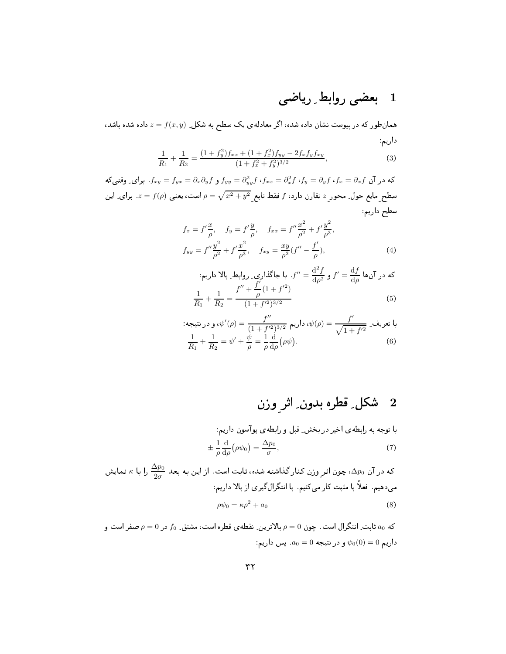## 1 بعضى روابط ِ رياضي

همانطور که در پیوست نشان داده شده، اگر معادلهی یک سطح به شکل ِ  $z = f(x,y)$  داده شده باشد، داریم

$$
\frac{1}{R_1} + \frac{1}{R_2} = \frac{(1+f_y^2)f_{xx} + (1+f_x^2)f_{yy} - 2f_xf_yf_{xy}}{(1+f_x^2+f_y^2)^{3/2}},
$$
\n(3)

که در آن  $f_{xy}$  و  $f_{yy} = f_{yx} = \partial_x \partial_y f$  و  $f_{yy} = \partial_y^2 f$  و  $f_{yy} = f_{yy} = f_{yy}$ . برای ِ وقتی که سطح مایع حول ِ محور  $z$  تقارن دارد،  $f$  فقط تابع  $\sqrt{x^2+y^2}$   $\rho=\sqrt{x^2+y^2}$ . برای ِ این سطح داريم

$$
f_x = f'\frac{x}{\rho}, \quad f_y = f'\frac{y}{\rho}, \quad f_{xx} = f''\frac{x^2}{\rho^2} + f'\frac{y^2}{\rho^3},
$$
  
\n
$$
f_{yy} = f''\frac{y^2}{\rho^2} + f'\frac{x^2}{\rho^3}, \quad f_{xy} = \frac{xy}{\rho^2}(f'' - \frac{f'}{\rho}),
$$
\n(4)

$$
f'' = \frac{d^2 f}{d\rho^2} \, \mathbf{y} \, f' = \frac{df}{d\rho} \, \text{ if } \rho = \frac{d}{d\rho} \, \mathbf{y} \, \mathbf{y} \, \mathbf{y} \, \mathbf{y} \, \mathbf{y} \, \mathbf{y} \, \mathbf{y} \, \mathbf{y} \, \mathbf{y} \, \mathbf{y} \, \mathbf{y} \, \mathbf{y} \, \mathbf{y} \, \mathbf{y} \, \mathbf{y} \, \mathbf{y} \, \mathbf{y} \, \mathbf{y} \, \mathbf{y} \, \mathbf{y} \, \mathbf{y} \, \mathbf{y} \, \mathbf{y} \, \mathbf{y} \, \mathbf{y} \, \mathbf{y} \, \mathbf{y} \, \mathbf{y} \, \mathbf{y} \, \mathbf{y} \, \mathbf{y} \, \mathbf{y} \, \mathbf{y} \, \mathbf{y} \, \mathbf{y} \, \mathbf{y} \, \mathbf{y} \, \mathbf{y} \, \mathbf{y} \, \mathbf{y} \, \mathbf{y} \, \mathbf{y} \, \mathbf{y} \, \mathbf{y} \, \mathbf{y} \, \mathbf{y} \, \mathbf{y} \, \mathbf{y} \, \mathbf{y} \, \mathbf{y} \, \mathbf{y} \, \mathbf{y} \, \mathbf{y} \, \mathbf{y} \, \mathbf{y} \, \mathbf{y} \, \mathbf{y} \, \mathbf{y} \, \mathbf{y} \, \mathbf{y} \, \mathbf{y} \, \mathbf{y} \, \mathbf{y} \, \mathbf{y} \, \mathbf{y} \, \mathbf{y} \, \mathbf{y} \, \mathbf{y} \, \mathbf{y} \, \mathbf{y} \, \mathbf{y} \, \mathbf{y} \, \mathbf{y} \, \mathbf{y} \, \mathbf{y} \, \mathbf{y} \, \mathbf{y} \, \mathbf{y} \, \mathbf{y} \, \mathbf{y} \, \mathbf{y} \, \mathbf{y} \, \mathbf{y} \, \mathbf{y} \, \mathbf{y} \, \mathbf{y} \, \mathbf{y} \, \math
$$

: معریف 2 = 
$$
\frac{f''}{\sqrt{1 + f'^2}}
$$
, و در نتیجه  
\n
$$
\frac{1}{R_1} + \frac{1}{R_2} = \psi' + \frac{\psi}{\rho} = \frac{1}{\rho} \frac{d}{d\rho} (\rho \psi).
$$
\n(6)

با توجه به رابطهی اخیر در بخش۔ قبل و رابطهی پوآسون داریم:  

$$
\pm \frac{1}{\rho} \frac{d}{d\rho} (\rho \psi_0) = \frac{\Delta p_0}{\sigma},
$$
 (7)

که در آن 
$$
\alpha p_0
$$
، چون اثرِ وزن کنار گذاشته شده، ثابت است . از این به بعد  $\frac{\Delta p_0}{2\sigma}$  را با ۶ نمایش  
میدهیم. فعلاً با مثبت کار میکنیم. با انتگرال گیری از بالا داریم:  
میهیم. فعلاً با مثبت کار میکنیم. با انتگرال گیری از بالا داریم:

که ۵۵ ثابت ِ انتگرال است. چون ۵ = p بالاترین ِ نقطهی قطره است، مشتق ِ 50 در ۵ = p صفر است و : داریم  $\psi_0(0) = \psi_0(0) = 0$ . پس داریم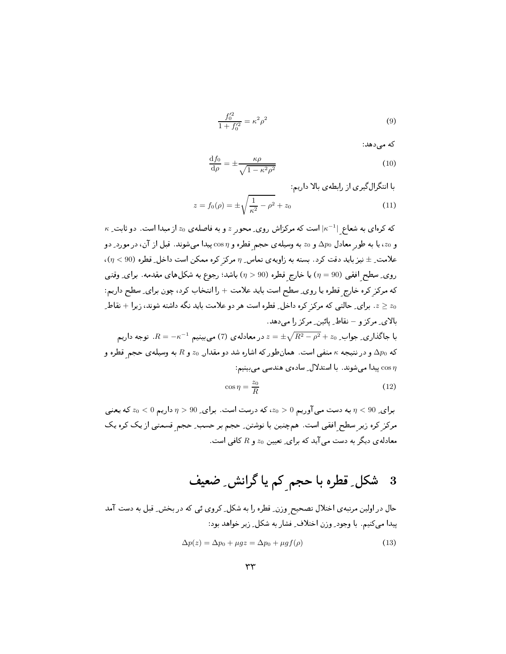$$
\frac{f_0'^2}{1+f_0'^2} = \kappa^2 \rho^2 \tag{9}
$$

که مے دهد:

$$
\frac{\mathrm{d}f_0}{\mathrm{d}\rho} = \pm \frac{\kappa \rho}{\sqrt{1 - \kappa^2 \rho^2}}\tag{10}
$$

با انتگرال گیری از رابطهی بالا داریم:

$$
z = f_0(\rho) = \pm \sqrt{\frac{1}{\kappa^2} - \rho^2} + z_0 \tag{11}
$$

 $\kappa$  که کرهای به شعاع  $|\kappa^{-1}|$  است که مرکزاش روی ِ محور  $z$  و به فاصلهی  $z_0$  از مبدا است. دو ثابت ِ و 20، یا به طور معادل  $\Delta p_0$  و 20 به وسیلهی حجم قطره و  $\sigma$ 0s پیدا میشوند. قبل از آن، در مورد ِ دو  $\alpha(\eta < 90)$  علامت ِ $\pm$  نیز باید دقت کرد. بسته به زاویهی تماس ِ  $\eta$  مرکز کره ممکن است داخل ِ قطره روی ِ سطح افقی (90 =  $\eta$ ) یا خارج قطره (90 <  $\eta$ ) باشد؛ رجوع به شکلهای مقدمه. برای ِ وقتی كه مركز كره خارج قطره يا روى ِ سطح است بايد علامت + را انتخاب كرد، چون براي ِ سطح داريم: . برای ِ حالتی که مرکز کره داخل ِ قطره است هر دو علامت باید نگه داشته شوند، زیرا + نقاط ِ  $z_0$ بالای مرکز و – نقاط پائین مرکز را می دهد. با جاگذاری ِ جواب ِ  $z_0+z-\sqrt{R^2-\rho^2}+z$  در معادلهی (7) میبینیم  $R=-\kappa^{-1}$ . توجه داریم

که  $\Delta p_0$  و در نتیبجه  $\kappa$  منفی است. همانطور که اشاره شد دو مقدار ِ 20 و  $R$  به وسیله $\Delta p_0$  حجم قطره و ییدا میشوند. با استدلال ِ ساده ی هندسی میبینیم:  $\cos\eta$ 

$$
\cos \eta = \frac{z_0}{R} \tag{12}
$$

 $\tau_0 > 9$ برای ِ $\eta < 90$  به دست میی آوریم  $z_0 > 0$ ، که درست است. برای ِ $\eta > 90$  داریم  $\eta < 90$  که یعنیی مرکز کره زیر سطح افقی است. همچنین با نوشتن ِ حجم بر حسب ِ حجم قسمتی از یک کره یک معادله ی دیگر به دست می آید که برای ِ تعیین 20 و  $R$  کافی است.

## شکل ِ قطرہ با حجم کم یا گرانش ِ ضعیف - 3

حال در اولین مرتبهی اختلال تصحیح وزن ِ قطره را به شکل ِ کروی ئی که در بخش ِ قبل به دست آمد پيدا مي كنيم. با وجود ِ وزن اختلاف ِ فشار به شكل ِ زير خواهد بود:

$$
\Delta p(z) = \Delta p_0 + \mu gz = \Delta p_0 + \mu gf(\rho) \tag{13}
$$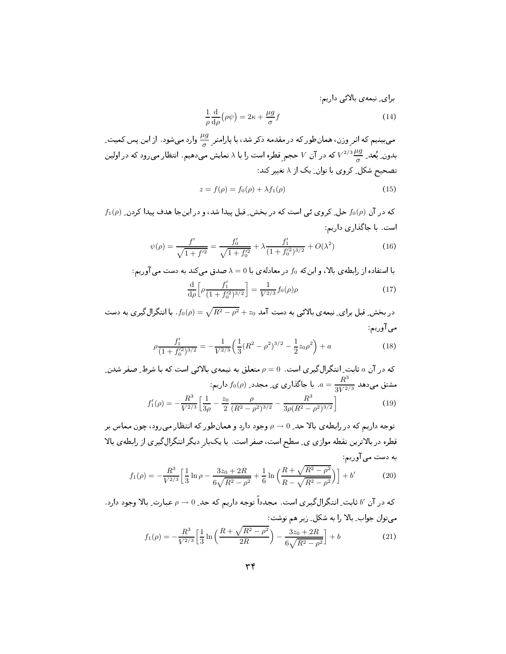برای\_ نیمهی بالاگی داریم:  
\n
$$
\frac{1}{\rho} \frac{d}{d\rho} (\rho \psi) = 2\kappa + \frac{\mu g}{\sigma} f
$$
\n(14)

می بینیم که اثر وزن، همانطور که در مقدمه ذکر شد، با پارامتر  $\frac{\mu g}{\tau}$  وارد میشود. از این پس کمیت ِ بدون ِ بُعد ِ  $\frac{\mu g}{2}$  که در آن  $V$  حجم قطره است را با ۸ نمایش میدهیم. انتظار میرود که در اولین تصحیح شکل ِ کروی با توان ِ یک از ۸ تغییر کند:

$$
z = f(\rho) = f_0(\rho) + \lambda f_1(\rho)
$$
\n(15)

 $f_1(\rho)$  که در آن  $f_0(\rho)$  حل ِ کروی ئی است که در بخش ِ قبل پیدا شد، و در اینجا هدف پیدا کردن ِ است. با جاگذاری داریم:

$$
\psi(\rho) = \frac{f'}{\sqrt{1 + f'^2}} = \frac{f'_0}{\sqrt{1 + f'_0^2}} + \lambda \frac{f'_1}{(1 + f'_0^2)^{3/2}} + O(\lambda^2)
$$
\n(16)

با استفاده از رابطهى بالا، و اين كه  $f_0$  در معادلهى با  $0 = \lambda = 0$  صدق مى كند به دست مى آوريم:

$$
\frac{\mathrm{d}}{\mathrm{d}\rho} \left[ \rho \frac{f_1'}{(1 + f_0'^2)^{3/2}} \right] = \frac{1}{V^{2/3}} f_0(\rho) \rho \tag{17}
$$

در بخش ِ قبل برای ِ نیمه ی بالائی به دست آمد  $z_0 = \sqrt{R^2 - \rho^2} + f_0(\rho) = f_0(\rho)$ . با انتگرال $\zeta$ یری به دست مي آوريم:

$$
\rho \frac{f_1'}{(1+f_0'^2)^{3/2}} = -\frac{1}{V^{2/3}} \left( \frac{1}{3} (R^2 - \rho^2)^{3/2} - \frac{1}{2} z_0 \rho^2 \right) + a \tag{18}
$$

که در آن a ثابت ِ انتگرال گیر ی است.  $\rho=0$  متعلق به نیمه $\epsilon$ ی بالائی است که با شرط ِ صفر شدن ِ ، مشتق میدهد  $\frac{R^3}{3V^{2/3}}$ . با جاگذاری ی ِ مجدد ِ $f_0(\rho)$  داریم  $f_1'(\rho) = -\frac{R^3}{V^{2/3}} \left[ \frac{1}{3\rho} - \frac{z_0}{2} \frac{\rho}{(R^2 - \rho^2)^{3/2}} - \frac{R^3}{3\rho(R^2 - \rho^2)^{3/2}} \right]$  $(19)$ 

توجه داریم که در رابطهی بالا حد ِ 0 → p وجود دارد و همانطور که انتظار میرود، چون مماس بر قطره در بالاترین نقطه موازی ی ِ سطح است، صفر است. با یکبار دیگر انتگرال گیری از رابطهی بالا به دست می آوریم:

$$
f_1(\rho) = -\frac{R^3}{V^{2/3}} \left[ \frac{1}{3} \ln \rho - \frac{3z_0 + 2R}{6\sqrt{R^2 - \rho^2}} + \frac{1}{6} \ln \left( \frac{R + \sqrt{R^2 - \rho^2}}{R - \sqrt{R^2 - \rho^2}} \right) \right] + b'
$$
(20)

که در آن √ ثابت ِ انتگرالگیری است. مجدداً توجه داریم که حد ِ 0 → p عبارت ِ بالا وجود دارد. می توان جواب بالا را به شکل زیر هم نوشت:

$$
f_1(\rho) = -\frac{R^3}{V^{2/3}} \left[ \frac{1}{3} \ln \left( \frac{R + \sqrt{R^2 - \rho^2}}{2R} \right) - \frac{3z_0 + 2R}{6\sqrt{R^2 - \rho^2}} \right] + b \tag{21}
$$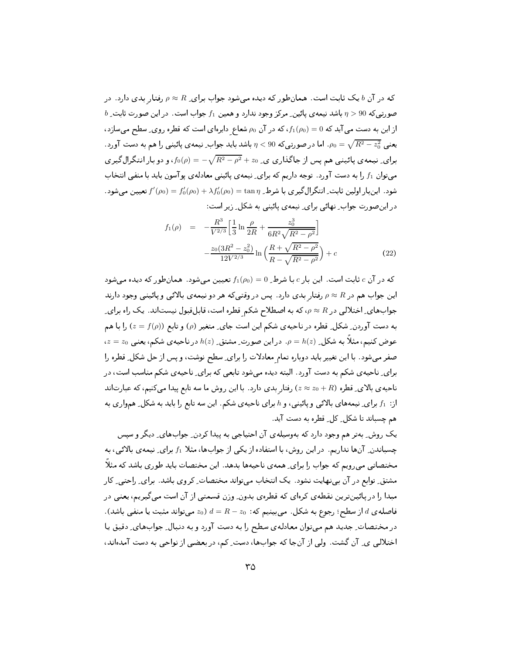که در آن  $b$ یک ثابت است. همانطور که دیده می شود جواب برای ِ $R \approx \rho \approx \rho$ رفتار بدی دارد. در  $b$  صورتی که 90 $\eta > 9$  باشد نیمه ی پائین ِ مرکز وجود ندارد و همین  $f_1$  جواب است. در این صورت ثابت ِ از این به دست می آید که  $0 = f_1(\rho_0) = f_2$ ، که در آن  $\rho_0$  شعاع دایرهای است که قطره روی ِ سطح میسازد، یعنبی  $\sqrt{R^2-z_0^2}$  اما در صورتبی که 90 $\eta< 9$  باشد باید جواب ِنیمه ی یائینبی را هم به دست آورد . برای ِ نیمه ی پائینبی هم پس از جاگذاری ی ِ 20 $\sqrt{R^2-\rho^2}+ \delta(\rho)=-\sqrt{R^2-\rho^2}+$ ، و دو بار انتگرال گیر ی میتوان  $f_1$  را به دست آورد. توجه داریم که برای ِ نیمهی پائینی معادلهی پوآسون باید با منفی انتخاب شود . اینبار اولین ثابت ِ انتگرال گیری با شرط ِ  $\tan\eta$   $\lambda f_0'(\rho_0)=f_0'(\rho_0)+f_1'(\rho_0)=f_0'(\rho_0)$  تعیین می شود . در این صورت جواب ِ نهائی برای ِ نیمه ی پائینی به شکل ِ زیر است:

$$
f_1(\rho) = -\frac{R^3}{V^{2/3}} \left[ \frac{1}{3} \ln \frac{\rho}{2R} + \frac{z_0^3}{6R^2 \sqrt{R^2 - \rho^2}} \right] -\frac{z_0(3R^2 - z_0^2)}{12V^{2/3}} \ln \left( \frac{R + \sqrt{R^2 - \rho^2}}{R - \sqrt{R^2 - \rho^2}} \right) + c
$$
 (22)

که در آن  $c$  ثابت است. این بار  $c$  با شرط ِ $f_1(\rho_0)=f_1(\rho_0)$  تعیین می شود. همان طور که دیده می شود این جواب هم در R  $\rho \approx R$  رفتار بدی دارد. پس در وقتبی که هر دو نیمهی بالائبی و پائینبی وجود دارند جوابهای ِ اختلالی در R  $\rho \approx R$ ، که به اصطلاح شکم قطره است، قابلقبول نیستاند. یک راه برای به دست آوردن ِ شکل ِ قطره در ناحیه ی شکم این است جای ِ متغیر (p) و تابع ((e) = ƒ(p) را با هم ، عوض کنیم، مثلاً به شکل ِ  $h(z)$  . در این صورت ِ مشتق ِ  $h(z)$  در ناحیه ی شکم، یعنی  $z=\overline{z}_0$ صفر میشود. با این تغییر باید دوباره تمام معادلات را برای ِ سطح نوشت، و پس از حل شکل ِ قطره را برای ِ ناحیه ی شکم به دست آورد . البته دیده می شود تابعی که برای ِ ناحیه ی شکم مناسب است، در ناحیه ی بالای ِ قطره  $z_0+R$  ) رفتار بدی دارد . با این روش ما سه تابع پیدا میکنیم، که عبارتاند از: f1 برای ِ نیمههای بالائی و پائینی، و h برای ناحیهی شکم. این سه تابع را باید به شکل ِ همواری به هم چسباند تا شکل ٍ کل ِ قطره به دست آید.

یک روش ِ بهتر هم وجود دارد که بهوسیلهی آن احتیاجی به پیدا کردن ِ جوابهای ِ دیگر و سپس چسباندن ِ آنها نداریم. در این روش، با استفاده از یکی از جوابها، مثلا f1 برای ِ نیمه ی بالائی، به مختصاتی میرویم که جواب را برای ِ همه ی ناحیهها بدهد. این مختصات باید طوری باشد که مثلاً مشتق ِ توابع در آن بی نهایت نشود. یک انتخاب میتواند مختصات ِ کروی باشد. برای ِ راحتی ِ کار مبدا را در پائین ترین نقطه ی کرهای که قطرهی بدون ِ وزن قسمتی از آن است میگیریم، یعنی در . فاصلهی d از سطح؛ رجوع به شکل . میبینیم که:  $R-z_0 \, d = 0$  میتواند مثبت یا منفی باشد) در مختصات ِ جدید هم میتوان معادلهی سطح را به دست آورد و به دنبال ِ جوابهای ِ دقیق یا اختلالی ی ِ آن گشت. ولی از آنجا که جوابها، دست ِ کم، در بعضی از نواحی به دست آمدهاند،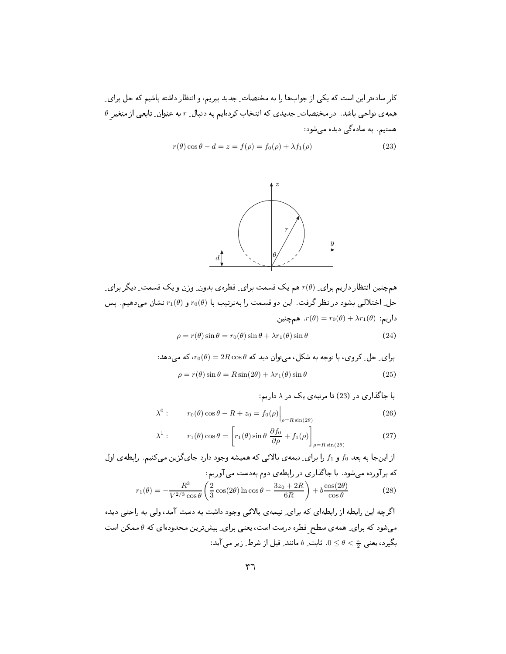ل المساحي المساحي المستقل المستقل المستقل المستقل المستقل المستقل المستقل المستقل المستقل المستقل المستقل المس  $\theta$  همه $\omega$  نواحی باشد. در مختصات ِ جدیدی که انتخاب کردهایم به دنبال ِ  $r$  به عنوان ِ تابعی از متغیر هستیم. به سادهگی دیده می شود:

$$
r(\theta)\cos\theta - d = z = f(\rho) = f_0(\rho) + \lambda f_1(\rho)
$$
\n(23)



هسم چنین انتظار داریم برای ِ ( $r(\theta)$  هم یک قسمت برای ِ قطرهی بدون ِ وِزن و یک قسمت ِ دیگر برای حل ِ اختلالی بشود در نظر گرفت . این دو قسمت را بهترتیب با  $r_0(\theta)$  و  $r_1(\theta)$ نشان میدهیم . پس داریم:  $r(\theta)=r_0(\theta)+\lambda r_1(\theta)$  همچنین

$$
\rho = r(\theta)\sin\theta = r_0(\theta)\sin\theta + \lambda r_1(\theta)\sin\theta \tag{24}
$$

برای ۵حل ۲روی، با توجه به شکل، میتوان دید که 4
$$
r_0(\theta) = 2R\cos\theta
$$
۷ ہیدهد:  

$$
\rho = r(\theta)\sin\theta = R\sin(2\theta) + \lambda r_1(\theta)\sin\theta
$$
 (25)

با جاگذاری در (23) تا مرتبهی یک در ۸ داریم:  $\lambda^0$  :  $r_0(\theta) \cos \theta - R + z_0 = f_0(\rho) \Big|_{\rho = R \sin(2\theta)}$  $(26)$ 

$$
\lambda^{1}: \qquad r_{1}(\theta)\cos\theta = \left[r_{1}(\theta)\sin\theta\,\frac{\partial f_{0}}{\partial\rho} + f_{1}(\rho)\right]_{\rho=R\sin(2\theta)}\tag{27}
$$

از اینجا به بعد 10 و 11 را برای یممهی بالائی که همیشه وجود دارد جایگزین می کنیم. رابطهی اول  
که برآورده میشود. با جاگذاری در رابطهی دوم بودست می آوریم:  
\n
$$
r_1(\theta) = -\frac{R^3}{V^{2/3}\cos\theta} \left(\frac{2}{3}\cos(2\theta)\ln\cos\theta - \frac{3z_0 + 2R}{6R}\right) + b\frac{\cos(2\theta)}{\cos\theta}
$$
\n(28)

 $\sim$  98  $\sim$  98  $\sim$  98  $\sim$  98  $\sim$  98  $\sim$  98  $\sim$  98  $\sim$  98  $\sim$  98  $\sim$  98  $\sim$  98  $\sim$  98  $\sim$  98  $\sim$  98  $\sim$  98  $\sim$  98  $\sim$  98  $\sim$  98  $\sim$  98  $\sim$  98  $\sim$  98  $\sim$  98  $\sim$  98  $\sim$  98  $\sim$  98  $\sim$  98  $\sim$  98  $\sim$  میشود که برای ِ همه $\sigma$  سطح ِ قطره درست است، یعنی برای ِ بیشترین محدودهای که  $\theta$  ممکن است بگیرد، یعنی  $\frac{\pi}{2} > \theta \leq 0$ . ثابت ِ  $b$  مانند ِ قبل از شرط ِ زیر می $\mathbb{I}$ ید: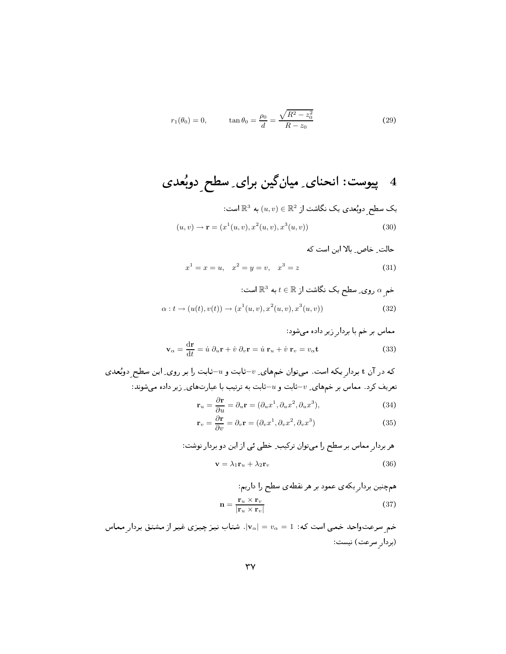$$
r_1(\theta_0) = 0,
$$
  $\tan \theta_0 = \frac{\rho_0}{d} = \frac{\sqrt{R^2 - z_0^2}}{R - z_0}$  (29)

یک سطح دویُعدی یک نگاشت از<sup>2</sup> یا
$$
u, v \in \mathbb{R}^2
$$
یت از<sup>2</sup> یک نگاشت از<sup>2</sup>

$$
x^{1} = x = u, \quad x^{2} = y = v, \quad x^{3} = z \tag{31}
$$

خم<sub>2</sub> 0 روی\_ سطح یک نگاشت از 
$$
\mathbb{R}^3
$$
 به دوی 2 سطح یک نگاشت از $\mathbb{R}^3$  به دوی 2  
 $\alpha : t \to (u(t), v(t)) \to (x^1(u, v), x^2(u, v), x^3(u, v))$  (32)

$$
\mathbf{v}_{\alpha} = \frac{\mathrm{d}\mathbf{r}}{\mathrm{d}t} = \dot{u} \; \partial_{u} \mathbf{r} + \dot{v} \; \partial_{v} \mathbf{r} = \dot{u} \; \mathbf{r}_{u} + \dot{v} \; \mathbf{r}_{v} = v_{\alpha} \mathbf{t}
$$
\n(33)

که در آن t بردار یکه است. میتوان خمههای ِ  $v$ -ثابت و  $u$ -ثابت را بر روی ِ این سطح دوبُعدی تعریف کرد. مماس بر خمهای ِ  $v$ -ثابت و  $u$ -ثابت به ترتیب با عبارتهای ِ زیر داده میشوند:

$$
\mathbf{r}_u = \frac{\partial \mathbf{r}}{\partial u} = \partial_u \mathbf{r} = (\partial_u x^1, \partial_u x^2, \partial_u x^3),\tag{34}
$$

$$
\mathbf{r}_v = \frac{\partial \mathbf{r}}{\partial v} = \partial_v \mathbf{r} = (\partial_v x^1, \partial_v x^2, \partial_v x^3)
$$
(35)

هر بردارِ مماس بر سطح را میتوان ترکیب۔ خطی ئی از این دو بردار نوشت:  
w = 
$$
\lambda_1 \mathbf{r}_u + \lambda_2 \mathbf{r}_v
$$

همچنین بردار ِیکهی عمود بر هر نقطهی سطح را داریم:  $\mathbf{r}_1 \times \mathbf{r}_2$ 

$$
\mathbf{n} = \frac{\mathbf{1}u \times \mathbf{1}v}{|\mathbf{r}_u \times \mathbf{r}_v|} \tag{37}
$$

خم سرعتواحد خمی است که:  $v_\alpha = v_\alpha = |\mathbf{v}_\alpha| = |\mathbf{v}_\alpha|$ . شتاب نیز چیزی غیر از مشتق بردار مماس (بردار سرعت) نیست: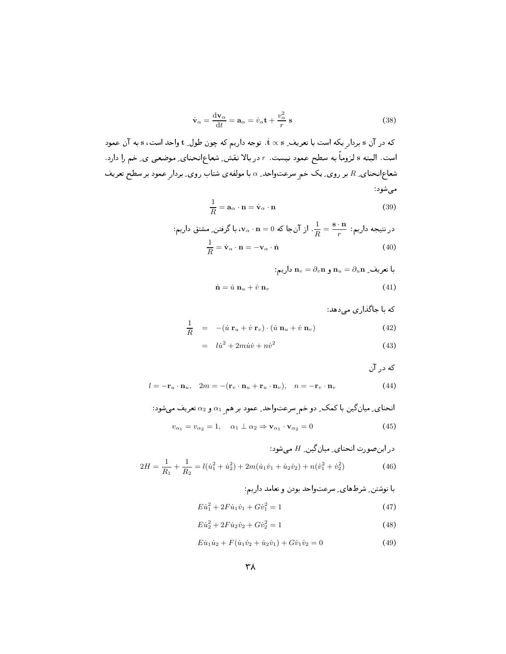$$
\dot{\mathbf{v}}_{\alpha} = \frac{\mathrm{d}\mathbf{v}_{\alpha}}{\mathrm{d}t} = \mathbf{a}_{\alpha} = \dot{v}_{\alpha}\mathbf{t} + \frac{v_{\alpha}^2}{r}\,\mathbf{s}
$$
\n(38)

که در آن s بردار یکه است با تعریف ِ t × s. توجه داریم که چون طول ِ t واحد است، s به آن عمود است. البته s لزوماً به سطح عمود نیست. r در بالا نقش ِ شعاعِانحنای ِ موضعی ی ِ خم را دارد. شعاعانحنای ِ R بر روی ِ یک خم سرعتواحد ِ a با مولفهی شتاب روی ِ بردار عمود بر سطح تعریف میشود:

$$
\frac{1}{R} = \mathbf{a}_{\alpha} \cdot \mathbf{n} = \dot{\mathbf{v}}_{\alpha} \cdot \mathbf{n}
$$
 (39)

در نتیجه داریم: 
$$
\frac{\mathbf{i}}{R} = \frac{\mathbf{s} \cdot \mathbf{n}}{r}
$$
 از آنجا که 0 = 0، ی»، با گرفتن\_ مشتق داریم:  

$$
\frac{1}{R} = \dot{\mathbf{v}}_{\alpha} \cdot \mathbf{n} = -\mathbf{v}_{\alpha} \cdot \dot{\mathbf{n}}
$$
 (40)

با تعریف ِ  $\mathbf{n}_u = \partial_u \mathbf{n}_u = \mathbf{n}_u$  داریم:

$$
\dot{\mathbf{n}} = \dot{u} \, \mathbf{n}_u + \dot{v} \, \mathbf{n}_v \tag{41}
$$

که با جاگذاری میدهد:

$$
\frac{1}{R} = -(\dot{u}\,\mathbf{r}_u + \dot{v}\,\mathbf{r}_v) \cdot (\dot{u}\,\mathbf{n}_u + \dot{v}\,\mathbf{n}_v) \tag{42}
$$

$$
= l\dot{u}^2 + 2m\dot{u}\dot{v} + n\dot{v}^2 \tag{43}
$$

که در آن

$$
l = -\mathbf{r}_u \cdot \mathbf{n}_u, \quad 2m = -(\mathbf{r}_v \cdot \mathbf{n}_u + \mathbf{r}_u \cdot \mathbf{n}_v), \quad n = -\mathbf{r}_v \cdot \mathbf{n}_v
$$
(44)

انحنای<sub>۔</sub> میانگین با کمک<sub>۔</sub> دو خم<sub>ے</sub> سرعتواحد<sub>–</sub> عمود بر هم<sub>ے</sub> ہو 20 تعریف میشود:  

$$
v_{\alpha_1} = v_{\alpha_2} = 1, \quad \alpha_1 \perp \alpha_2 \Rightarrow \mathbf{v}_{\alpha_1} \cdot \mathbf{v}_{\alpha_2} = 0
$$
 (45)

در این صورت انحنای<sub>د</sub> میان گین<sub>2</sub> H میشود:  
\n
$$
2H = \frac{1}{R_1} + \frac{1}{R_2} = l(\dot{u}_1^2 + \dot{u}_2^2) + 2m(\dot{u}_1\dot{v}_1 + \dot{u}_2\dot{v}_2) + n(\dot{v}_1^2 + \dot{v}_2^2)
$$
\n(46)

با نوشتن ِ شرطهای ِ سرعتواحد بودن و تعامد داریم:

$$
E\dot{u}_1^2 + 2F\dot{u}_1\dot{v}_1 + G\dot{v}_1^2 = 1\tag{47}
$$

$$
E\dot{u}_2^2 + 2F\dot{u}_2\dot{v}_2 + G\dot{v}_2^2 = 1\tag{48}
$$

$$
E\dot{u}_1\dot{u}_2 + F(\dot{u}_1\dot{v}_2 + \dot{u}_2\dot{v}_1) + G\dot{v}_1\dot{v}_2 = 0
$$
\n(49)